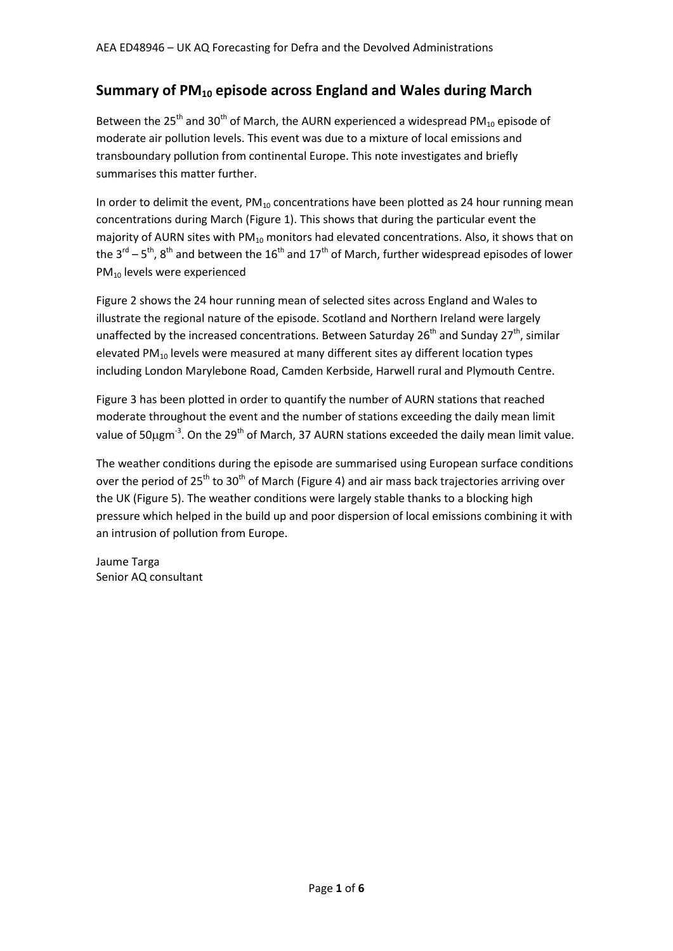## **Summary of PM<sup>10</sup> episode across England and Wales during March**

Between the 25<sup>th</sup> and 30<sup>th</sup> of March, the AURN experienced a widespread PM<sub>10</sub> episode of moderate air pollution levels. This event was due to a mixture of local emissions and transboundary pollution from continental Europe. This note investigates and briefly summarises this matter further.

In order to delimit the event,  $PM_{10}$  concentrations have been plotted as 24 hour running mean concentrations during March [\(Figure 1\)](#page-1-0). This shows that during the particular event the majority of AURN sites with PM $_{10}$  monitors had elevated concentrations. Also, it shows that on the 3<sup>rd</sup> – 5<sup>th</sup>, 8<sup>th</sup> and between the 16<sup>th</sup> and 17<sup>th</sup> of March, further widespread episodes of lower PM<sub>10</sub> levels were experienced

[Figure 2](#page-2-0) shows the 24 hour running mean of selected sites across England and Wales to illustrate the regional nature of the episode. Scotland and Northern Ireland were largely unaffected by the increased concentrations. Between Saturday  $26<sup>th</sup>$  and Sunday  $27<sup>th</sup>$ , similar elevated PM $_{10}$  levels were measured at many different sites ay different location types including London Marylebone Road, Camden Kerbside, Harwell rural and Plymouth Centre.

[Figure 3](#page-3-0) has been plotted in order to quantify the number of AURN stations that reached moderate throughout the event and the number of stations exceeding the daily mean limit value of 50µgm<sup>-3</sup>. On the 29<sup>th</sup> of March, 37 AURN stations exceeded the daily mean limit value.

The weather conditions during the episode are summarised using European surface conditions over the period of 25<sup>th</sup> to 30<sup>th</sup> of March [\(Figure 4\)](#page-4-0) and air mass back trajectories arriving over the UK [\(Figure 5\)](#page-5-0). The weather conditions were largely stable thanks to a blocking high pressure which helped in the build up and poor dispersion of local emissions combining it with an intrusion of pollution from Europe.

Jaume Targa Senior AQ consultant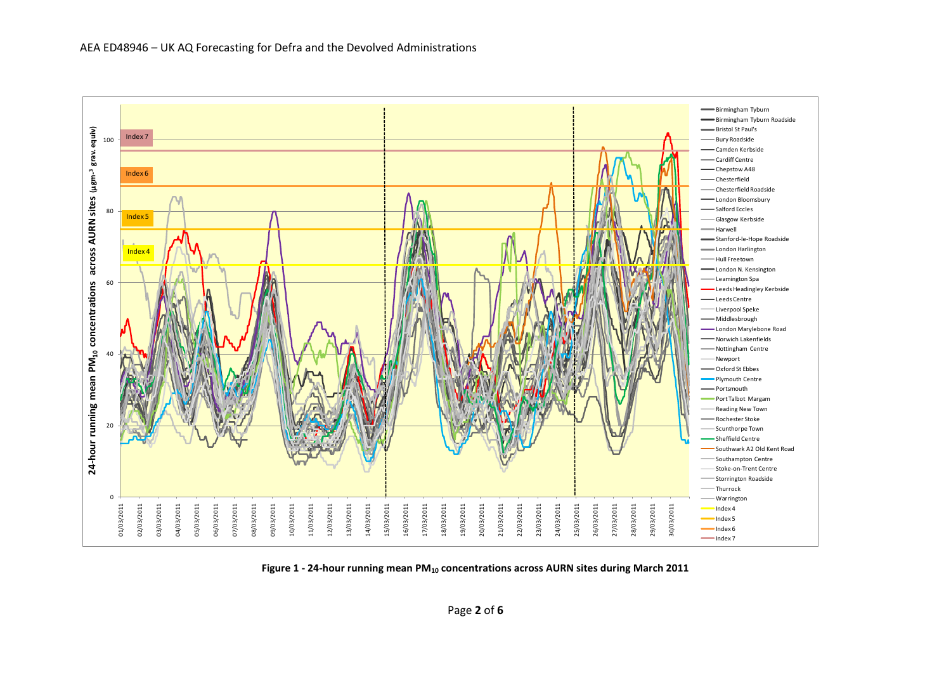

<span id="page-1-0"></span>**Figure 1 - 24-hour running mean PM<sup>10</sup> concentrations across AURN sites during March 2011**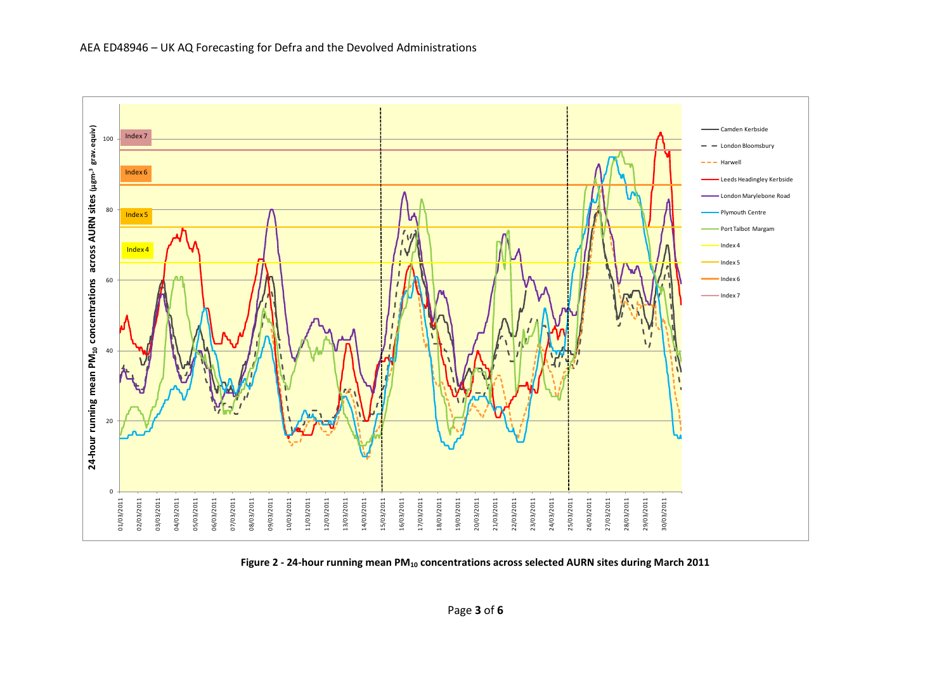

<span id="page-2-0"></span>**Figure 2 - 24-hour running mean PM<sup>10</sup> concentrations across selected AURN sites during March 2011**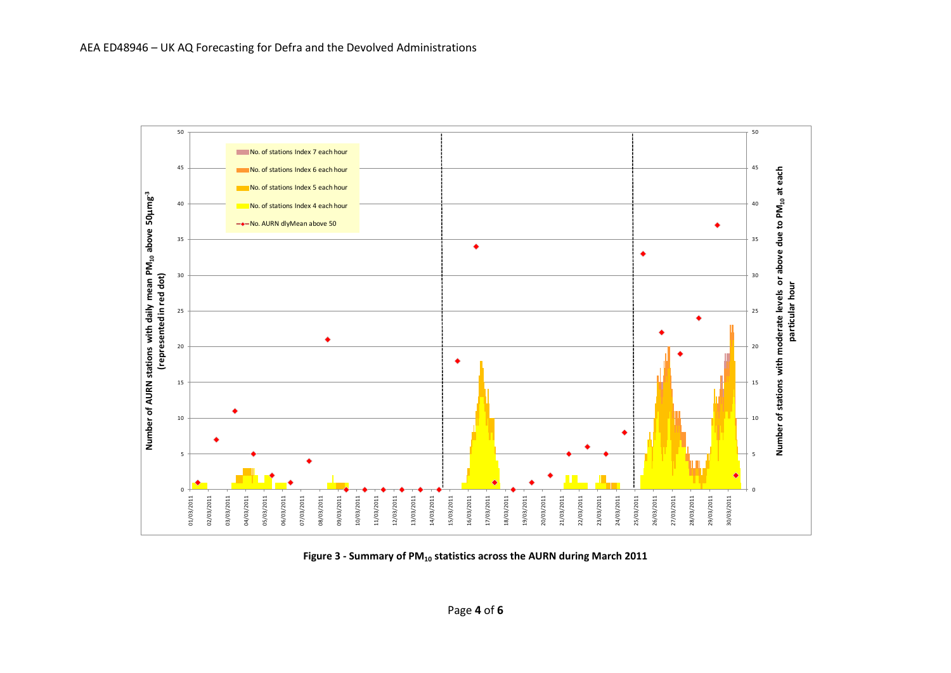

<span id="page-3-0"></span>**Figure 3 - Summary of PM<sup>10</sup> statistics across the AURN during March 2011**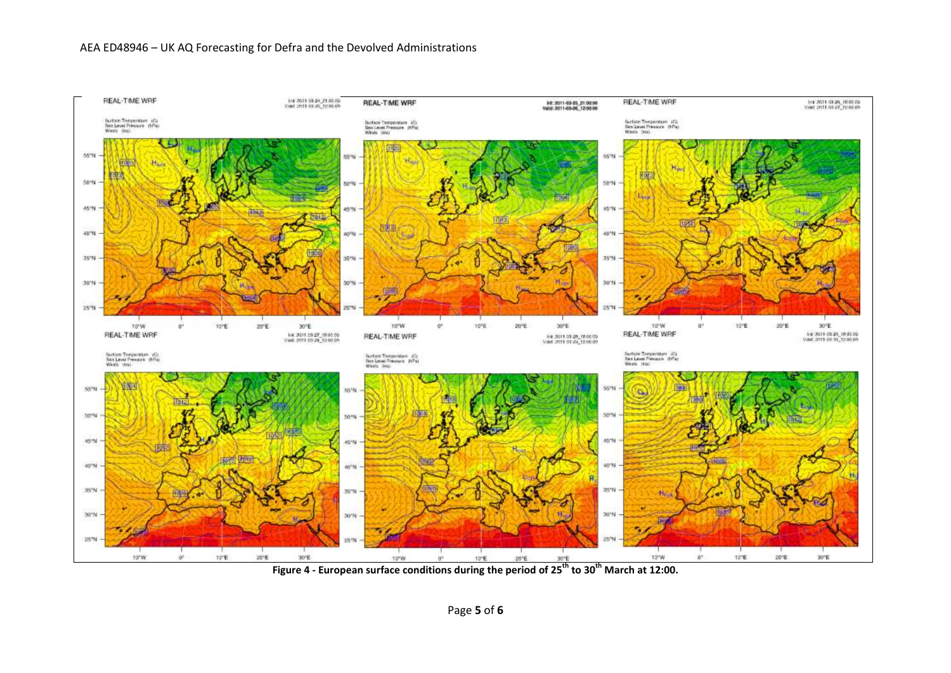<span id="page-4-0"></span>